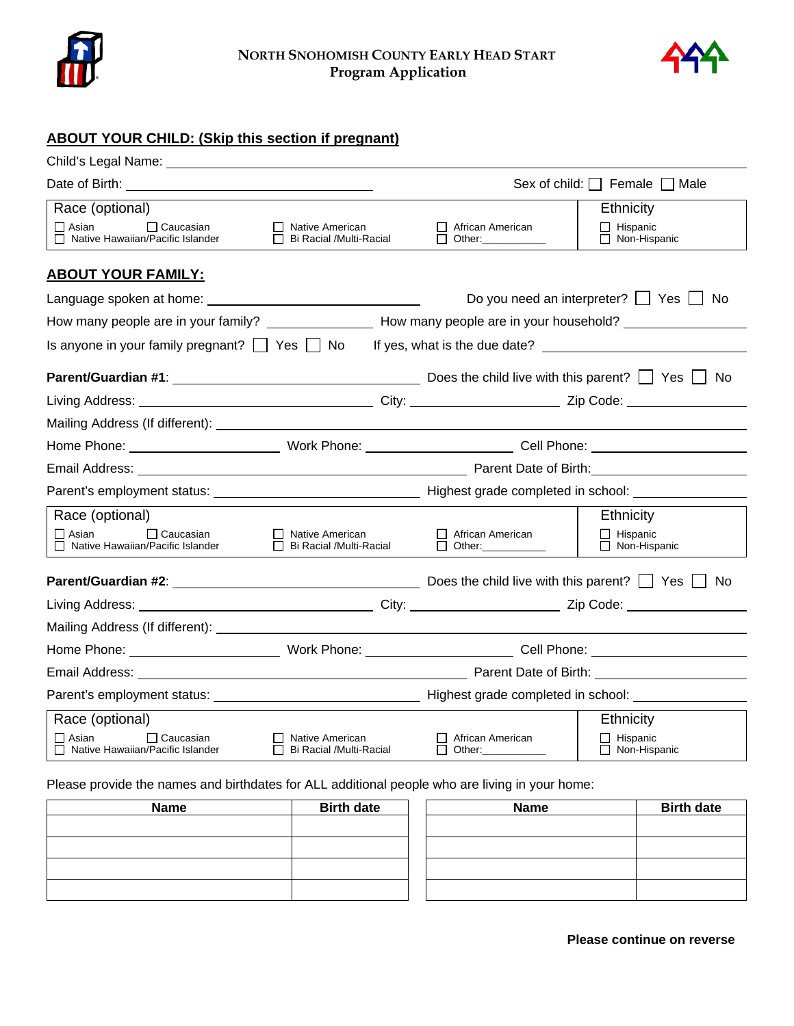



## **ABOUT YOUR CHILD: (Skip this section if pregnant)**

|                                                                                                                |                                                     |                                            | Sex of child: $\Box$ Female $\Box$ Male |
|----------------------------------------------------------------------------------------------------------------|-----------------------------------------------------|--------------------------------------------|-----------------------------------------|
| Race (optional)                                                                                                |                                                     |                                            | Ethnicity                               |
| $\Box$ Asian<br>$\Box$ Caucasian<br>$\Box$ Native Hawaiian/Pacific Islander                                    | □ Native American<br>$\Box$ Bi Racial /Multi-Racial | African American<br>$\Box$ Other:          | $\Box$ Hispanic<br>□ Non-Hispanic       |
| <b>ABOUT YOUR FAMILY:</b>                                                                                      |                                                     |                                            |                                         |
|                                                                                                                |                                                     | Do you need an interpreter?     Yes     No |                                         |
| How many people are in your family? _____________________How many people are in your household? ______________ |                                                     |                                            |                                         |
| Is anyone in your family pregnant? $\Box$ Yes $\Box$ No If yes, what is the due date? $\Box$                   |                                                     |                                            |                                         |
|                                                                                                                |                                                     |                                            |                                         |
|                                                                                                                |                                                     |                                            |                                         |
|                                                                                                                |                                                     |                                            |                                         |
|                                                                                                                |                                                     |                                            |                                         |
|                                                                                                                |                                                     |                                            |                                         |
|                                                                                                                |                                                     |                                            |                                         |
| Race (optional)                                                                                                |                                                     |                                            | <b>Ethnicity</b>                        |
| $\Box$ Asian<br>$\Box$ Caucasian<br>□ Native Hawaiian/Pacific Islander                                         | $\Box$ Native American<br>□ Bi Racial /Multi-Racial | African American<br>$\Box$ Other:          | $\Box$ Hispanic<br>$\Box$ Non-Hispanic  |
| <b>Parent/Guardian #2:</b> $\qquad \qquad$                                                                     |                                                     |                                            | No.                                     |
|                                                                                                                |                                                     |                                            |                                         |
|                                                                                                                |                                                     |                                            |                                         |
|                                                                                                                |                                                     |                                            |                                         |
|                                                                                                                |                                                     |                                            |                                         |
|                                                                                                                |                                                     |                                            |                                         |
| Race (optional)                                                                                                |                                                     |                                            | Ethnicity                               |
| $\Box$ Caucasian<br>l I Asian<br>□ Native Hawaiian/Pacific Islander                                            | Native American<br>Bi Racial /Multi-Racial          | African American<br>Other:                 | Hispanic<br>$\Box$ Non-Hispanic         |

Please provide the names and birthdates for ALL additional people who are living in your home:

| <b>Name</b> | <b>Birth date</b> | <b>Name</b> | <b>Birth date</b> |
|-------------|-------------------|-------------|-------------------|
|             |                   |             |                   |
|             |                   |             |                   |
|             |                   |             |                   |
|             |                   |             |                   |